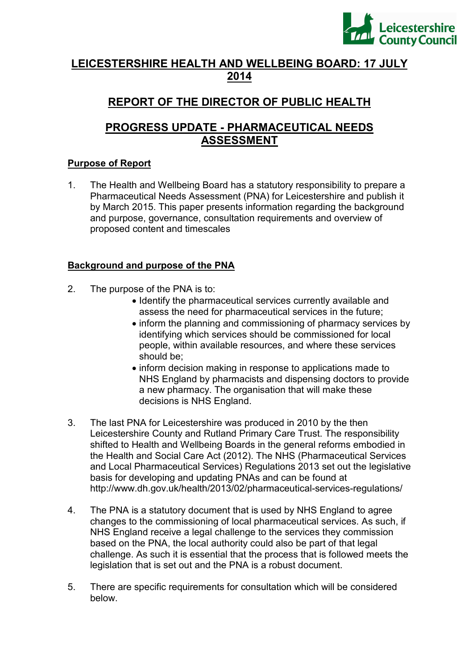

# **LEICESTERSHIRE HEALTH AND WELLBEING BOARD: 17 JULY 2014**

# **REPORT OF THE DIRECTOR OF PUBLIC HEALTH**

# **PROGRESS UPDATE - PHARMACEUTICAL NEEDS ASSESSMENT**

## **Purpose of Report**

1. The Health and Wellbeing Board has a statutory responsibility to prepare a Pharmaceutical Needs Assessment (PNA) for Leicestershire and publish it by March 2015. This paper presents information regarding the background and purpose, governance, consultation requirements and overview of proposed content and timescales

## **Background and purpose of the PNA**

- 2. The purpose of the PNA is to:
	- Identify the pharmaceutical services currently available and assess the need for pharmaceutical services in the future;
	- inform the planning and commissioning of pharmacy services by identifying which services should be commissioned for local people, within available resources, and where these services should be;
	- inform decision making in response to applications made to NHS England by pharmacists and dispensing doctors to provide a new pharmacy. The organisation that will make these decisions is NHS England.
- 3. The last PNA for Leicestershire was produced in 2010 by the then Leicestershire County and Rutland Primary Care Trust. The responsibility shifted to Health and Wellbeing Boards in the general reforms embodied in the Health and Social Care Act (2012). The NHS (Pharmaceutical Services and Local Pharmaceutical Services) Regulations 2013 set out the legislative basis for developing and updating PNAs and can be found at http://www.dh.gov.uk/health/2013/02/pharmaceutical-services-regulations/
- 4. The PNA is a statutory document that is used by NHS England to agree changes to the commissioning of local pharmaceutical services. As such, if NHS England receive a legal challenge to the services they commission based on the PNA, the local authority could also be part of that legal challenge. As such it is essential that the process that is followed meets the legislation that is set out and the PNA is a robust document.
- 5. There are specific requirements for consultation which will be considered below.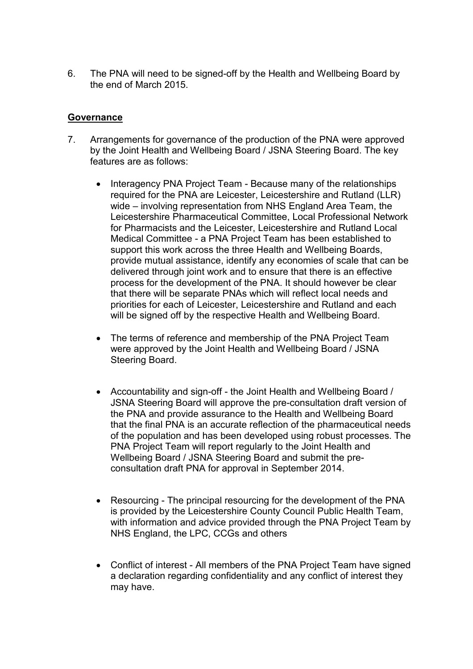6. The PNA will need to be signed-off by the Health and Wellbeing Board by the end of March 2015.

## **Governance**

- 7. Arrangements for governance of the production of the PNA were approved by the Joint Health and Wellbeing Board / JSNA Steering Board. The key features are as follows:
	- Interagency PNA Project Team Because many of the relationships required for the PNA are Leicester, Leicestershire and Rutland (LLR) wide – involving representation from NHS England Area Team, the Leicestershire Pharmaceutical Committee, Local Professional Network for Pharmacists and the Leicester, Leicestershire and Rutland Local Medical Committee - a PNA Project Team has been established to support this work across the three Health and Wellbeing Boards, provide mutual assistance, identify any economies of scale that can be delivered through joint work and to ensure that there is an effective process for the development of the PNA. It should however be clear that there will be separate PNAs which will reflect local needs and priorities for each of Leicester, Leicestershire and Rutland and each will be signed off by the respective Health and Wellbeing Board.
	- The terms of reference and membership of the PNA Project Team were approved by the Joint Health and Wellbeing Board / JSNA Steering Board.
	- Accountability and sign-off the Joint Health and Wellbeing Board / JSNA Steering Board will approve the pre-consultation draft version of the PNA and provide assurance to the Health and Wellbeing Board that the final PNA is an accurate reflection of the pharmaceutical needs of the population and has been developed using robust processes. The PNA Project Team will report regularly to the Joint Health and Wellbeing Board / JSNA Steering Board and submit the preconsultation draft PNA for approval in September 2014.
	- Resourcing The principal resourcing for the development of the PNA is provided by the Leicestershire County Council Public Health Team, with information and advice provided through the PNA Project Team by NHS England, the LPC, CCGs and others
	- Conflict of interest All members of the PNA Project Team have signed a declaration regarding confidentiality and any conflict of interest they may have.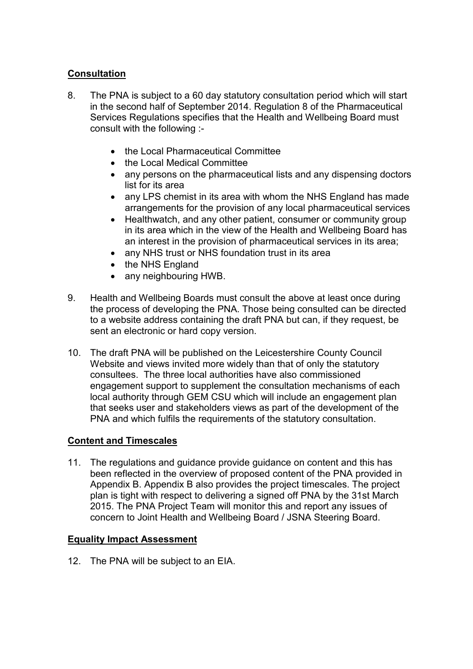## **Consultation**

- 8. The PNA is subject to a 60 day statutory consultation period which will start in the second half of September 2014. Regulation 8 of the Pharmaceutical Services Regulations specifies that the Health and Wellbeing Board must consult with the following :-
	- the Local Pharmaceutical Committee
	- the Local Medical Committee
	- any persons on the pharmaceutical lists and any dispensing doctors list for its area
	- any LPS chemist in its area with whom the NHS England has made arrangements for the provision of any local pharmaceutical services
	- Healthwatch, and any other patient, consumer or community group in its area which in the view of the Health and Wellbeing Board has an interest in the provision of pharmaceutical services in its area;
	- any NHS trust or NHS foundation trust in its area
	- the NHS England
	- any neighbouring HWB.
- 9. Health and Wellbeing Boards must consult the above at least once during the process of developing the PNA. Those being consulted can be directed to a website address containing the draft PNA but can, if they request, be sent an electronic or hard copy version.
- 10. The draft PNA will be published on the Leicestershire County Council Website and views invited more widely than that of only the statutory consultees. The three local authorities have also commissioned engagement support to supplement the consultation mechanisms of each local authority through GEM CSU which will include an engagement plan that seeks user and stakeholders views as part of the development of the PNA and which fulfils the requirements of the statutory consultation.

## **Content and Timescales**

11. The regulations and guidance provide guidance on content and this has been reflected in the overview of proposed content of the PNA provided in Appendix B. Appendix B also provides the project timescales. The project plan is tight with respect to delivering a signed off PNA by the 31st March 2015. The PNA Project Team will monitor this and report any issues of concern to Joint Health and Wellbeing Board / JSNA Steering Board.

## **Equality Impact Assessment**

12. The PNA will be subject to an EIA.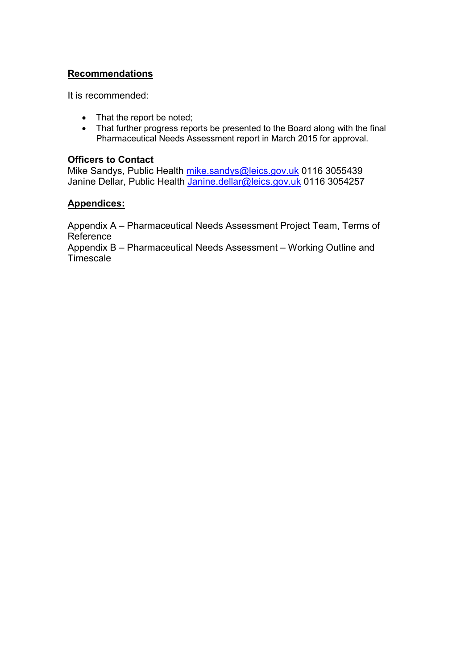## **Recommendations**

It is recommended:

- That the report be noted;
- That further progress reports be presented to the Board along with the final Pharmaceutical Needs Assessment report in March 2015 for approval.

#### **Officers to Contact**

Mike Sandys, Public Health mike.sandys@leics.gov.uk 0116 3055439 Janine Dellar, Public Health Janine.dellar@leics.gov.uk 0116 3054257

#### **Appendices:**

Appendix A – Pharmaceutical Needs Assessment Project Team, Terms of Reference

Appendix B – Pharmaceutical Needs Assessment – Working Outline and Timescale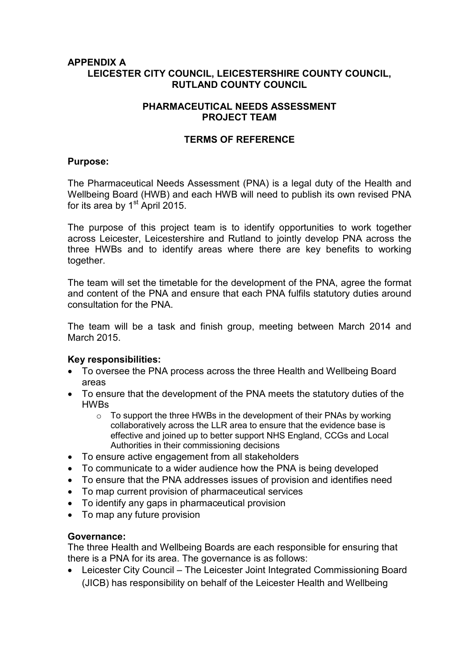#### **APPENDIX A LEICESTER CITY COUNCIL, LEICESTERSHIRE COUNTY COUNCIL, RUTLAND COUNTY COUNCIL**

## **PHARMACEUTICAL NEEDS ASSESSMENT PROJECT TEAM**

#### **TERMS OF REFERENCE**

#### **Purpose:**

The Pharmaceutical Needs Assessment (PNA) is a legal duty of the Health and Wellbeing Board (HWB) and each HWB will need to publish its own revised PNA for its area by  $1<sup>st</sup>$  April 2015.

The purpose of this project team is to identify opportunities to work together across Leicester, Leicestershire and Rutland to jointly develop PNA across the three HWBs and to identify areas where there are key benefits to working together.

The team will set the timetable for the development of the PNA, agree the format and content of the PNA and ensure that each PNA fulfils statutory duties around consultation for the PNA.

The team will be a task and finish group, meeting between March 2014 and March 2015.

## **Key responsibilities:**

- To oversee the PNA process across the three Health and Wellbeing Board areas
- To ensure that the development of the PNA meets the statutory duties of the HWBs
	- o To support the three HWBs in the development of their PNAs by working collaboratively across the LLR area to ensure that the evidence base is effective and joined up to better support NHS England, CCGs and Local Authorities in their commissioning decisions
- To ensure active engagement from all stakeholders
- To communicate to a wider audience how the PNA is being developed
- To ensure that the PNA addresses issues of provision and identifies need
- To map current provision of pharmaceutical services
- To identify any gaps in pharmaceutical provision
- To map any future provision

#### **Governance:**

The three Health and Wellbeing Boards are each responsible for ensuring that there is a PNA for its area. The governance is as follows:

• Leicester City Council – The Leicester Joint Integrated Commissioning Board (JICB) has responsibility on behalf of the Leicester Health and Wellbeing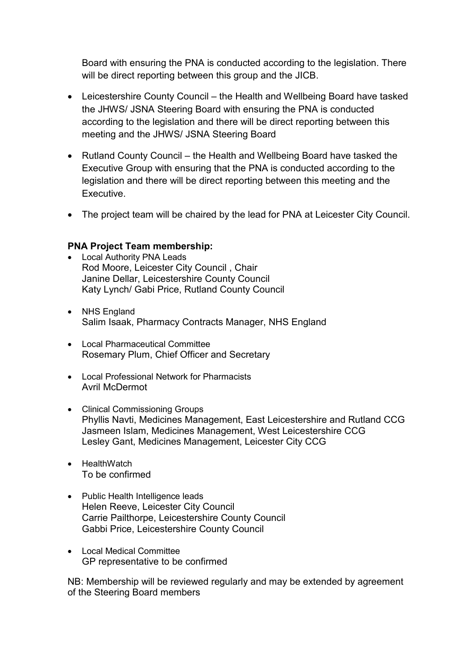Board with ensuring the PNA is conducted according to the legislation. There will be direct reporting between this group and the JICB.

- Leicestershire County Council the Health and Wellbeing Board have tasked the JHWS/ JSNA Steering Board with ensuring the PNA is conducted according to the legislation and there will be direct reporting between this meeting and the JHWS/ JSNA Steering Board
- Rutland County Council the Health and Wellbeing Board have tasked the Executive Group with ensuring that the PNA is conducted according to the legislation and there will be direct reporting between this meeting and the Executive.
- The project team will be chaired by the lead for PNA at Leicester City Council.

## **PNA Project Team membership:**

- Local Authority PNA Leads Rod Moore, Leicester City Council , Chair Janine Dellar, Leicestershire County Council Katy Lynch/ Gabi Price, Rutland County Council
- NHS England Salim Isaak, Pharmacy Contracts Manager, NHS England
- Local Pharmaceutical Committee Rosemary Plum, Chief Officer and Secretary
- Local Professional Network for Pharmacists Avril McDermot
- Clinical Commissioning Groups Phyllis Navti, Medicines Management, East Leicestershire and Rutland CCG Jasmeen Islam, Medicines Management, West Leicestershire CCG Lesley Gant, Medicines Management, Leicester City CCG
- HealthWatch To be confirmed
- Public Health Intelligence leads Helen Reeve, Leicester City Council Carrie Pailthorpe, Leicestershire County Council Gabbi Price, Leicestershire County Council
- Local Medical Committee GP representative to be confirmed

NB: Membership will be reviewed regularly and may be extended by agreement of the Steering Board members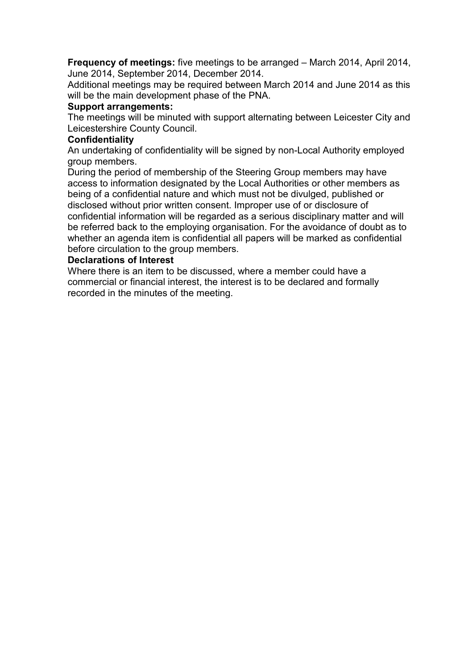**Frequency of meetings:** five meetings to be arranged – March 2014, April 2014, June 2014, September 2014, December 2014.

Additional meetings may be required between March 2014 and June 2014 as this will be the main development phase of the PNA.

#### **Support arrangements:**

The meetings will be minuted with support alternating between Leicester City and Leicestershire County Council.

#### **Confidentiality**

An undertaking of confidentiality will be signed by non-Local Authority employed group members.

During the period of membership of the Steering Group members may have access to information designated by the Local Authorities or other members as being of a confidential nature and which must not be divulged, published or disclosed without prior written consent. Improper use of or disclosure of confidential information will be regarded as a serious disciplinary matter and will be referred back to the employing organisation. For the avoidance of doubt as to whether an agenda item is confidential all papers will be marked as confidential before circulation to the group members.

#### **Declarations of Interest**

Where there is an item to be discussed, where a member could have a commercial or financial interest, the interest is to be declared and formally recorded in the minutes of the meeting.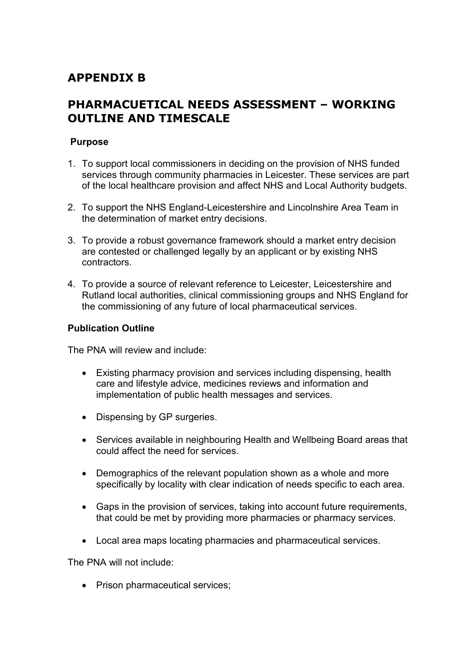# **APPENDIX B**

# **PHARMACUETICAL NEEDS ASSESSMENT – WORKING OUTLINE AND TIMESCALE**

## **Purpose**

- 1. To support local commissioners in deciding on the provision of NHS funded services through community pharmacies in Leicester. These services are part of the local healthcare provision and affect NHS and Local Authority budgets.
- 2. To support the NHS England-Leicestershire and Lincolnshire Area Team in the determination of market entry decisions.
- 3. To provide a robust governance framework should a market entry decision are contested or challenged legally by an applicant or by existing NHS contractors.
- 4. To provide a source of relevant reference to Leicester, Leicestershire and Rutland local authorities, clinical commissioning groups and NHS England for the commissioning of any future of local pharmaceutical services.

## **Publication Outline**

The PNA will review and include:

- Existing pharmacy provision and services including dispensing, health care and lifestyle advice, medicines reviews and information and implementation of public health messages and services.
- Dispensing by GP surgeries.
- Services available in neighbouring Health and Wellbeing Board areas that could affect the need for services.
- Demographics of the relevant population shown as a whole and more specifically by locality with clear indication of needs specific to each area.
- Gaps in the provision of services, taking into account future requirements, that could be met by providing more pharmacies or pharmacy services.
- Local area maps locating pharmacies and pharmaceutical services.

The PNA will not include:

• Prison pharmaceutical services;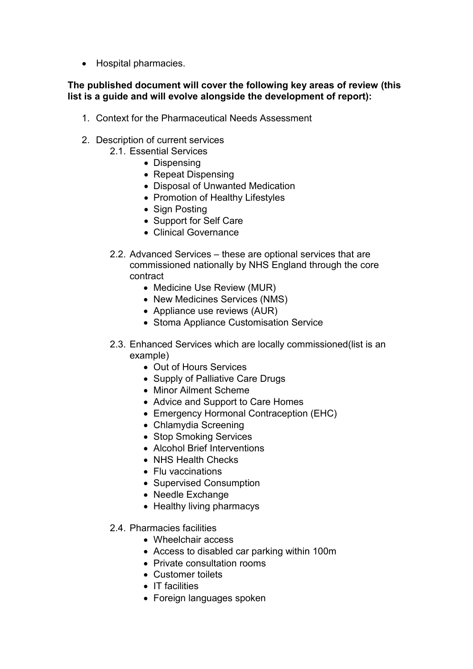• Hospital pharmacies.

## **The published document will cover the following key areas of review (this list is a guide and will evolve alongside the development of report):**

- 1. Context for the Pharmaceutical Needs Assessment
- 2. Description of current services
	- 2.1. Essential Services
		- Dispensing
		- Repeat Dispensing
		- Disposal of Unwanted Medication
		- Promotion of Healthy Lifestyles
		- Sign Posting
		- Support for Self Care
		- Clinical Governance
	- 2.2. Advanced Services these are optional services that are commissioned nationally by NHS England through the core contract
		- Medicine Use Review (MUR)
		- New Medicines Services (NMS)
		- Appliance use reviews (AUR)
		- Stoma Appliance Customisation Service
	- 2.3. Enhanced Services which are locally commissioned(list is an example)
		- Out of Hours Services
		- Supply of Palliative Care Drugs
		- Minor Ailment Scheme
		- Advice and Support to Care Homes
		- Emergency Hormonal Contraception (EHC)
		- Chlamydia Screening
		- Stop Smoking Services
		- Alcohol Brief Interventions
		- NHS Health Checks
		- Flu vaccinations
		- Supervised Consumption
		- Needle Exchange
		- Healthy living pharmacys
	- 2.4. Pharmacies facilities
		- Wheelchair access
		- Access to disabled car parking within 100m
		- Private consultation rooms
		- Customer toilets
		- IT facilities
		- Foreign languages spoken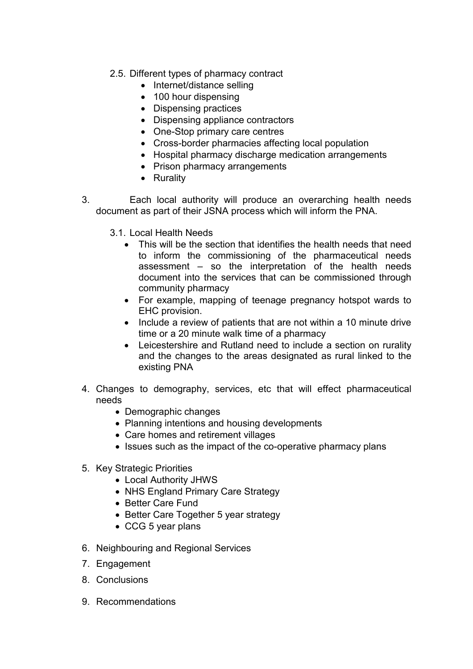- 2.5. Different types of pharmacy contract
	- Internet/distance selling
	- 100 hour dispensing
	- Dispensing practices
	- Dispensing appliance contractors
	- One-Stop primary care centres
	- Cross-border pharmacies affecting local population
	- Hospital pharmacy discharge medication arrangements
	- Prison pharmacy arrangements
	- Rurality
- 3. Each local authority will produce an overarching health needs document as part of their JSNA process which will inform the PNA.
	- 3.1. Local Health Needs
		- This will be the section that identifies the health needs that need to inform the commissioning of the pharmaceutical needs assessment – so the interpretation of the health needs document into the services that can be commissioned through community pharmacy
		- For example, mapping of teenage pregnancy hotspot wards to EHC provision.
		- Include a review of patients that are not within a 10 minute drive time or a 20 minute walk time of a pharmacy
		- Leicestershire and Rutland need to include a section on rurality and the changes to the areas designated as rural linked to the existing PNA
- 4. Changes to demography, services, etc that will effect pharmaceutical needs
	- Demographic changes
	- Planning intentions and housing developments
	- Care homes and retirement villages
	- Issues such as the impact of the co-operative pharmacy plans
- 5. Key Strategic Priorities
	- Local Authority JHWS
	- NHS England Primary Care Strategy
	- Better Care Fund
	- Better Care Together 5 year strategy
	- CCG 5 year plans
- 6. Neighbouring and Regional Services
- 7. Engagement
- 8. Conclusions
- 9. Recommendations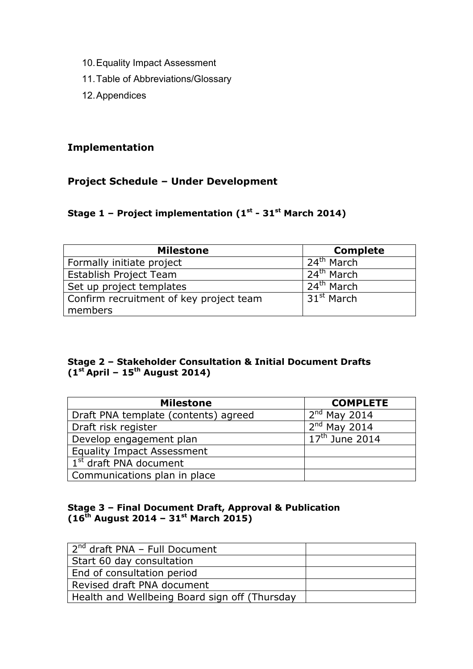- 10. Equality Impact Assessment
- 11. Table of Abbreviations/Glossary
- 12. Appendices

## **Implementation**

## **Project Schedule – Under Development**

## **Stage 1 – Project implementation (1st - 31st March 2014)**

| <b>Milestone</b>                        | <b>Complete</b>        |
|-----------------------------------------|------------------------|
| Formally initiate project               | 24 <sup>th</sup> March |
| <b>Establish Project Team</b>           | $24th$ March           |
| Set up project templates                | 24 <sup>th</sup> March |
| Confirm recruitment of key project team | 31 <sup>st</sup> March |
| members                                 |                        |

## **Stage 2 – Stakeholder Consultation & Initial Document Drafts (1st April – 15th August 2014)**

| <b>Milestone</b>                     | <b>COMPLETE</b>  |
|--------------------------------------|------------------|
| Draft PNA template (contents) agreed | $2nd$ May 2014   |
| Draft risk register                  | $2nd$ May 2014   |
| Develop engagement plan              | $17th$ June 2014 |
| <b>Equality Impact Assessment</b>    |                  |
| 1 <sup>st</sup> draft PNA document   |                  |
| Communications plan in place         |                  |

## **Stage 3 – Final Document Draft, Approval & Publication (16th August 2014 – 31st March 2015)**

| . 2 <sup>nd</sup> draft PNA - Full Document   |  |
|-----------------------------------------------|--|
| Start 60 day consultation                     |  |
| End of consultation period                    |  |
| Revised draft PNA document                    |  |
| Health and Wellbeing Board sign off (Thursday |  |